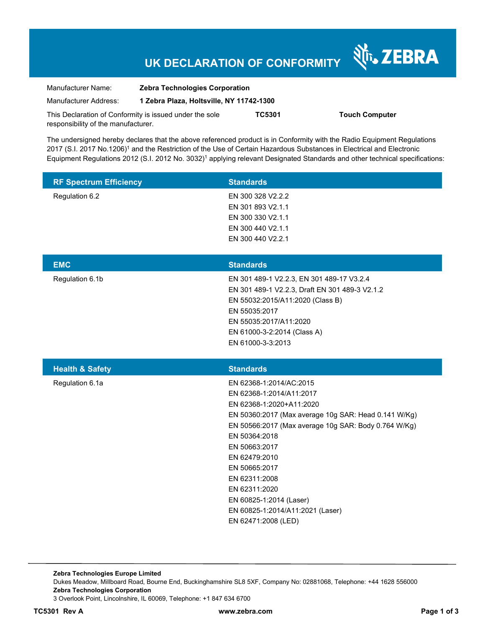# **UK DECLARATION OF CONFORMITY**

Nr. ZEBRA

| Manufacturer Name:                                      | <b>Zebra Technologies Corporation</b>    |        |                       |
|---------------------------------------------------------|------------------------------------------|--------|-----------------------|
| Manufacturer Address:                                   | 1 Zebra Plaza, Holtsville, NY 11742-1300 |        |                       |
| This Declaration of Conformity is issued under the sole |                                          | TC5301 | <b>Touch Computer</b> |
| responsibility of the manufacturer.                     |                                          |        |                       |

The undersigned hereby declares that the above referenced product is in Conformity with the Radio Equipment Regulations 2017 (S.I. 2017 No.1206)<sup>1</sup> and the Restriction of the Use of Certain Hazardous Substances in Electrical and Electronic Equipment Regulations 2012 (S.I. 2012 No. 3032)<sup>1</sup> applying relevant Designated Standards and other technical specifications:

| <b>RF Spectrum Efficiency</b> | <b>Standards</b>                                        |
|-------------------------------|---------------------------------------------------------|
| Regulation 6.2                | EN 300 328 V2.2.2                                       |
|                               | EN 301 893 V2.1.1                                       |
|                               | EN 300 330 V2.1.1                                       |
|                               | EN 300 440 V2.1.1                                       |
|                               | EN 300 440 V2.2.1                                       |
| <b>EMC</b>                    | <b>Standards</b>                                        |
| Regulation 6.1b               | EN 301 489-1 V2.2.3, EN 301 489-17 V3.2.4               |
|                               | EN 301 489-1 V2.2.3, Draft EN 301 489-3 V2.1.2          |
|                               | EN 55032:2015/A11:2020 (Class B)                        |
|                               | EN 55035:2017                                           |
|                               | EN 55035:2017/A11:2020                                  |
|                               | EN 61000-3-2:2014 (Class A)                             |
|                               | EN 61000-3-3:2013                                       |
|                               |                                                         |
|                               | <b>Standards</b>                                        |
| <b>Health &amp; Safety</b>    | EN 62368-1:2014/AC:2015                                 |
| Regulation 6.1a               | EN 62368-1:2014/A11:2017                                |
|                               | EN 62368-1:2020+A11:2020                                |
|                               | EN 50360:2017 (Max average 10g SAR: Head 0.141 W/Kg)    |
|                               | EN 50566:2017 (Max average 10g SAR: Body 0.764 W/Kg)    |
|                               | EN 50364:2018                                           |
|                               | EN 50663:2017                                           |
|                               | EN 62479:2010                                           |
|                               | EN 50665:2017                                           |
|                               | EN 62311:2008                                           |
|                               | EN 62311:2020                                           |
|                               | EN 60825-1:2014 (Laser)                                 |
|                               | EN 60825-1:2014/A11:2021 (Laser)<br>EN 62471:2008 (LED) |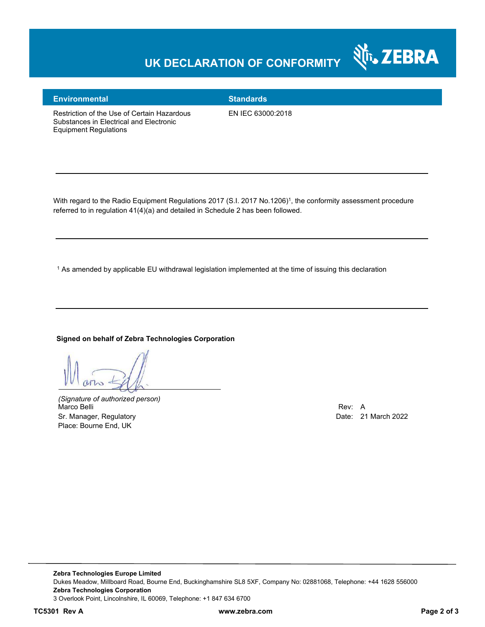# **UK DECLARATION OF CONFORMITY**



### **Environmental Standards**

Restriction of the Use of Certain Hazardous Substances in Electrical and Electronic Equipment Regulations

EN IEC 63000:2018

With regard to the Radio Equipment Regulations 2017 (S.I. 2017 No.1206)<sup>1</sup>, the conformity assessment procedure referred to in regulation 41(4)(a) and detailed in Schedule 2 has been followed.

 $^{\rm 1}$  As amended by applicable EU withdrawal legislation implemented at the time of issuing this declaration

#### **Signed on behalf of Zebra Technologies Corporation**

 $M_{\infty}$ 

*(Signature of authorized person)* Marco Belli Rev: A Sr. Manager, Regulatory **Date: 21 March 2022** Place: Bourne End, UK